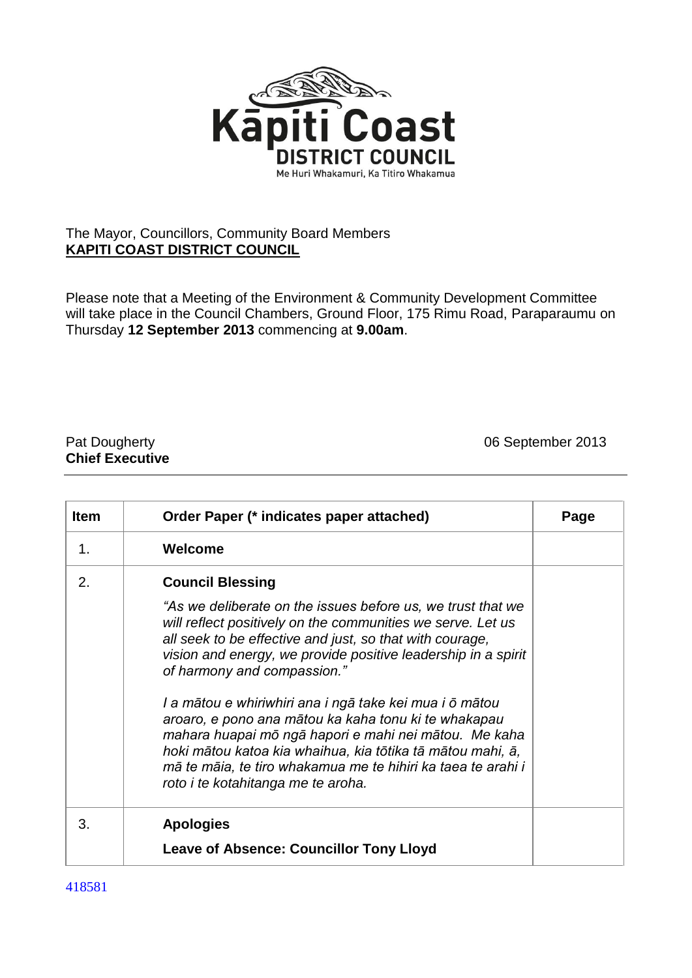

## The Mayor, Councillors, Community Board Members **KAPITI COAST DISTRICT COUNCIL**

Please note that a Meeting of the Environment & Community Development Committee will take place in the Council Chambers, Ground Floor, 175 Rimu Road, Paraparaumu on Thursday **12 September 2013** commencing at **9.00am**.

## **Chief Executive**

Pat Dougherty **Disk and American** Control of September 2013

| <b>Item</b>    | Order Paper (* indicates paper attached)                                                                                                                                                                                                                                                                                                                                                                                                                                                                                                                                                                                                                          | Page |
|----------------|-------------------------------------------------------------------------------------------------------------------------------------------------------------------------------------------------------------------------------------------------------------------------------------------------------------------------------------------------------------------------------------------------------------------------------------------------------------------------------------------------------------------------------------------------------------------------------------------------------------------------------------------------------------------|------|
| 1 <sub>1</sub> | Welcome                                                                                                                                                                                                                                                                                                                                                                                                                                                                                                                                                                                                                                                           |      |
| 2.             | <b>Council Blessing</b><br>"As we deliberate on the issues before us, we trust that we<br>will reflect positively on the communities we serve. Let us<br>all seek to be effective and just, so that with courage,<br>vision and energy, we provide positive leadership in a spirit<br>of harmony and compassion."<br>I a mātou e whiriwhiri ana i ngā take kei mua i ō mātou<br>aroaro, e pono ana mātou ka kaha tonu ki te whakapau<br>mahara huapai mō ngā hapori e mahi nei mātou. Me kaha<br>hoki mātou katoa kia whaihua, kia tōtika tā mātou mahi, ā,<br>mā te māia, te tiro whakamua me te hihiri ka taea te arahi i<br>roto i te kotahitanga me te aroha. |      |
| 3.             | <b>Apologies</b><br><b>Leave of Absence: Councillor Tony Lloyd</b>                                                                                                                                                                                                                                                                                                                                                                                                                                                                                                                                                                                                |      |

418581